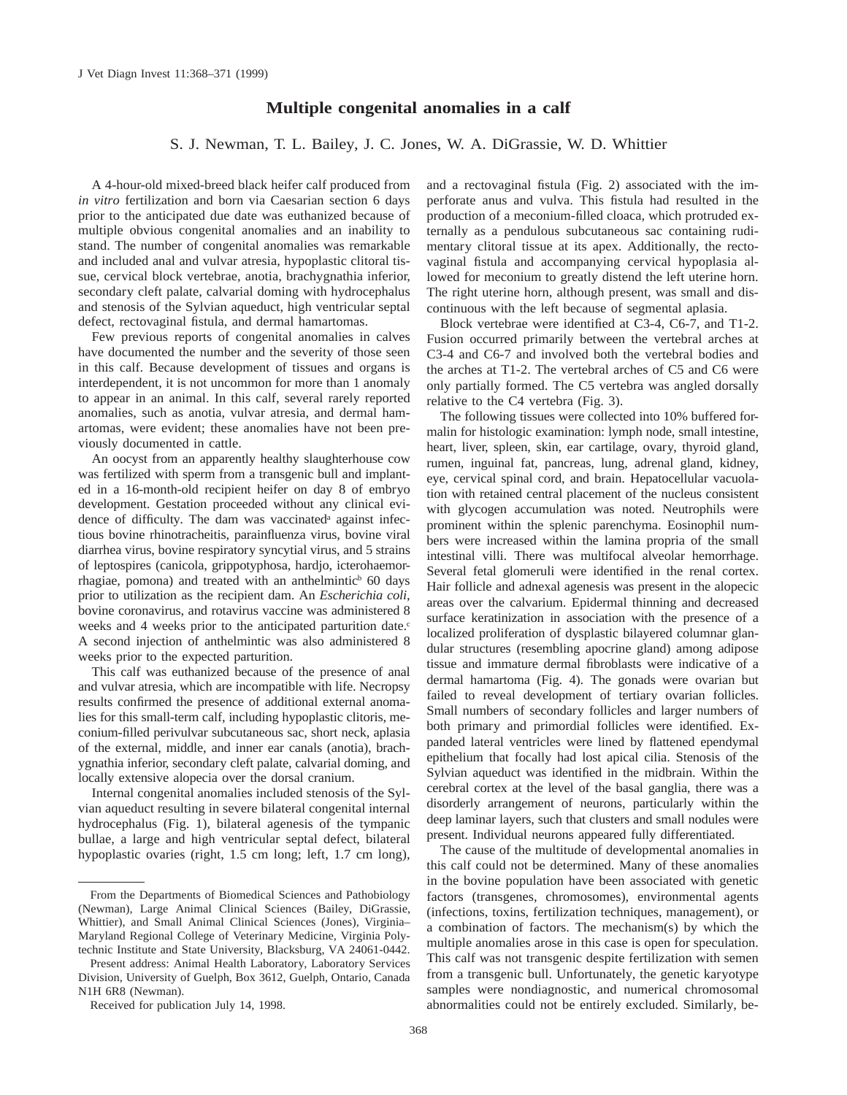## **Multiple congenital anomalies in a calf**

S. J. Newman, T. L. Bailey, J. C. Jones, W. A. DiGrassie, W. D. Whittier

A 4-hour-old mixed-breed black heifer calf produced from *in vitro* fertilization and born via Caesarian section 6 days prior to the anticipated due date was euthanized because of multiple obvious congenital anomalies and an inability to stand. The number of congenital anomalies was remarkable and included anal and vulvar atresia, hypoplastic clitoral tissue, cervical block vertebrae, anotia, brachygnathia inferior, secondary cleft palate, calvarial doming with hydrocephalus and stenosis of the Sylvian aqueduct, high ventricular septal defect, rectovaginal fistula, and dermal hamartomas.

Few previous reports of congenital anomalies in calves have documented the number and the severity of those seen in this calf. Because development of tissues and organs is interdependent, it is not uncommon for more than 1 anomaly to appear in an animal. In this calf, several rarely reported anomalies, such as anotia, vulvar atresia, and dermal hamartomas, were evident; these anomalies have not been previously documented in cattle.

An oocyst from an apparently healthy slaughterhouse cow was fertilized with sperm from a transgenic bull and implanted in a 16-month-old recipient heifer on day 8 of embryo development. Gestation proceeded without any clinical evidence of difficulty. The dam was vaccinated<sup>a</sup> against infectious bovine rhinotracheitis, parainfluenza virus, bovine viral diarrhea virus, bovine respiratory syncytial virus, and 5 strains of leptospires (canicola, grippotyphosa, hardjo, icterohaemorrhagiae, pomona) and treated with an anthelmintic<sup>b</sup> 60 days prior to utilization as the recipient dam. An *Escherichia coli*, bovine coronavirus, and rotavirus vaccine was administered 8 weeks and 4 weeks prior to the anticipated parturition date. $c$ A second injection of anthelmintic was also administered 8 weeks prior to the expected parturition.

This calf was euthanized because of the presence of anal and vulvar atresia, which are incompatible with life. Necropsy results confirmed the presence of additional external anomalies for this small-term calf, including hypoplastic clitoris, meconium-filled perivulvar subcutaneous sac, short neck, aplasia of the external, middle, and inner ear canals (anotia), brachygnathia inferior, secondary cleft palate, calvarial doming, and locally extensive alopecia over the dorsal cranium.

Internal congenital anomalies included stenosis of the Sylvian aqueduct resulting in severe bilateral congenital internal hydrocephalus (Fig. 1), bilateral agenesis of the tympanic bullae, a large and high ventricular septal defect, bilateral hypoplastic ovaries (right, 1.5 cm long; left, 1.7 cm long), and a rectovaginal fistula (Fig. 2) associated with the imperforate anus and vulva. This fistula had resulted in the production of a meconium-filled cloaca, which protruded externally as a pendulous subcutaneous sac containing rudimentary clitoral tissue at its apex. Additionally, the rectovaginal fistula and accompanying cervical hypoplasia allowed for meconium to greatly distend the left uterine horn. The right uterine horn, although present, was small and discontinuous with the left because of segmental aplasia.

Block vertebrae were identified at C3-4, C6-7, and T1-2. Fusion occurred primarily between the vertebral arches at C3-4 and C6-7 and involved both the vertebral bodies and the arches at T1-2. The vertebral arches of C5 and C6 were only partially formed. The C5 vertebra was angled dorsally relative to the C4 vertebra (Fig. 3).

The following tissues were collected into 10% buffered formalin for histologic examination: lymph node, small intestine, heart, liver, spleen, skin, ear cartilage, ovary, thyroid gland, rumen, inguinal fat, pancreas, lung, adrenal gland, kidney, eye, cervical spinal cord, and brain. Hepatocellular vacuolation with retained central placement of the nucleus consistent with glycogen accumulation was noted. Neutrophils were prominent within the splenic parenchyma. Eosinophil numbers were increased within the lamina propria of the small intestinal villi. There was multifocal alveolar hemorrhage. Several fetal glomeruli were identified in the renal cortex. Hair follicle and adnexal agenesis was present in the alopecic areas over the calvarium. Epidermal thinning and decreased surface keratinization in association with the presence of a localized proliferation of dysplastic bilayered columnar glandular structures (resembling apocrine gland) among adipose tissue and immature dermal fibroblasts were indicative of a dermal hamartoma (Fig. 4). The gonads were ovarian but failed to reveal development of tertiary ovarian follicles. Small numbers of secondary follicles and larger numbers of both primary and primordial follicles were identified. Expanded lateral ventricles were lined by flattened ependymal epithelium that focally had lost apical cilia. Stenosis of the Sylvian aqueduct was identified in the midbrain. Within the cerebral cortex at the level of the basal ganglia, there was a disorderly arrangement of neurons, particularly within the deep laminar layers, such that clusters and small nodules were present. Individual neurons appeared fully differentiated.

The cause of the multitude of developmental anomalies in this calf could not be determined. Many of these anomalies in the bovine population have been associated with genetic factors (transgenes, chromosomes), environmental agents (infections, toxins, fertilization techniques, management), or a combination of factors. The mechanism(s) by which the multiple anomalies arose in this case is open for speculation. This calf was not transgenic despite fertilization with semen from a transgenic bull. Unfortunately, the genetic karyotype samples were nondiagnostic, and numerical chromosomal abnormalities could not be entirely excluded. Similarly, be-

From the Departments of Biomedical Sciences and Pathobiology (Newman), Large Animal Clinical Sciences (Bailey, DiGrassie, Whittier), and Small Animal Clinical Sciences (Jones), Virginia– Maryland Regional College of Veterinary Medicine, Virginia Polytechnic Institute and State University, Blacksburg, VA 24061-0442.

Present address: Animal Health Laboratory, Laboratory Services Division, University of Guelph, Box 3612, Guelph, Ontario, Canada N1H 6R8 (Newman).

Received for publication July 14, 1998.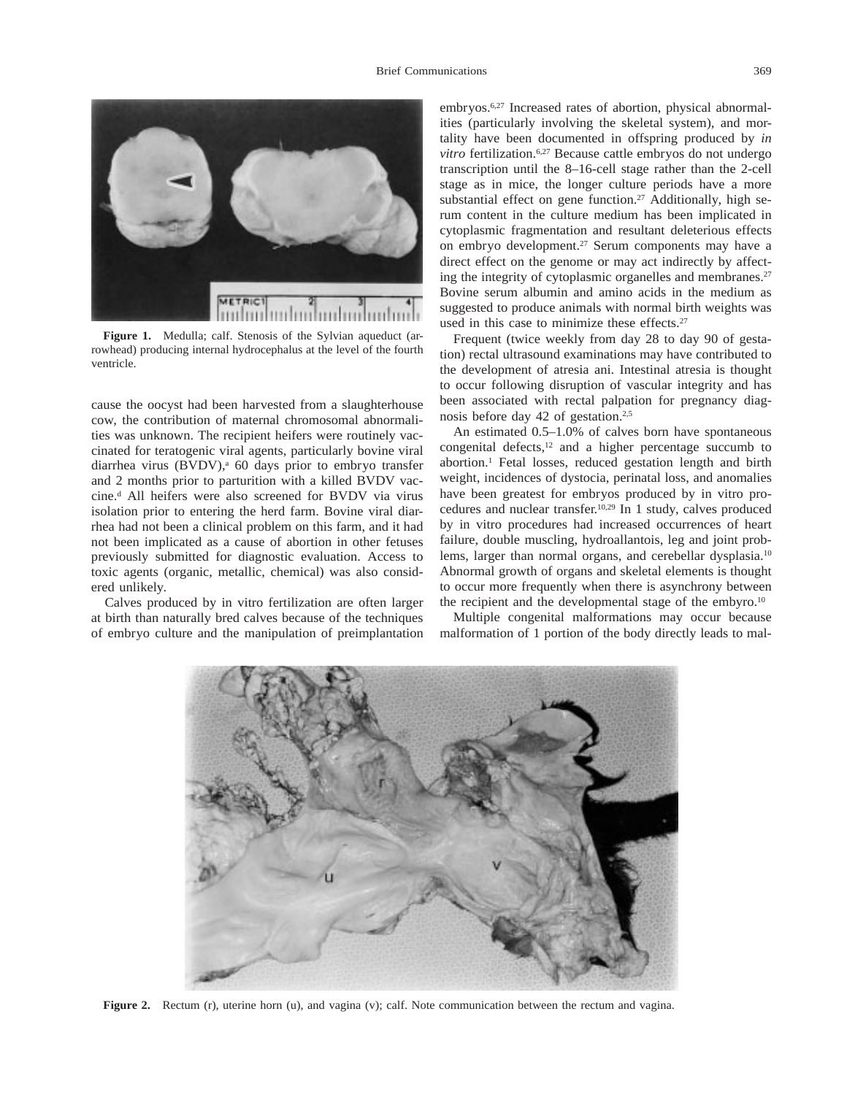

**Figure 1.** Medulla; calf. Stenosis of the Sylvian aqueduct (arrowhead) producing internal hydrocephalus at the level of the fourth ventricle.

cause the oocyst had been harvested from a slaughterhouse cow, the contribution of maternal chromosomal abnormalities was unknown. The recipient heifers were routinely vaccinated for teratogenic viral agents, particularly bovine viral diarrhea virus (BVDV),<sup>a</sup> 60 days prior to embryo transfer and 2 months prior to parturition with a killed BVDV vaccine.<sup>d</sup> All heifers were also screened for BVDV via virus isolation prior to entering the herd farm. Bovine viral diarrhea had not been a clinical problem on this farm, and it had not been implicated as a cause of abortion in other fetuses previously submitted for diagnostic evaluation. Access to toxic agents (organic, metallic, chemical) was also considered unlikely.

Calves produced by in vitro fertilization are often larger at birth than naturally bred calves because of the techniques of embryo culture and the manipulation of preimplantation

embryos.6,27 Increased rates of abortion, physical abnormalities (particularly involving the skeletal system), and mortality have been documented in offspring produced by *in vitro* fertilization.6,27 Because cattle embryos do not undergo transcription until the 8–16-cell stage rather than the 2-cell stage as in mice, the longer culture periods have a more substantial effect on gene function.<sup>27</sup> Additionally, high serum content in the culture medium has been implicated in cytoplasmic fragmentation and resultant deleterious effects on embryo development.<sup>27</sup> Serum components may have a direct effect on the genome or may act indirectly by affecting the integrity of cytoplasmic organelles and membranes.27 Bovine serum albumin and amino acids in the medium as suggested to produce animals with normal birth weights was used in this case to minimize these effects.27

Frequent (twice weekly from day 28 to day 90 of gestation) rectal ultrasound examinations may have contributed to the development of atresia ani. Intestinal atresia is thought to occur following disruption of vascular integrity and has been associated with rectal palpation for pregnancy diagnosis before day 42 of gestation.2,5

An estimated 0.5–1.0% of calves born have spontaneous congenital defects, $12$  and a higher percentage succumb to abortion.1 Fetal losses, reduced gestation length and birth weight, incidences of dystocia, perinatal loss, and anomalies have been greatest for embryos produced by in vitro procedures and nuclear transfer.10,29 In 1 study, calves produced by in vitro procedures had increased occurrences of heart failure, double muscling, hydroallantois, leg and joint problems, larger than normal organs, and cerebellar dysplasia.10 Abnormal growth of organs and skeletal elements is thought to occur more frequently when there is asynchrony between the recipient and the developmental stage of the embyro.<sup>10</sup>

Multiple congenital malformations may occur because malformation of 1 portion of the body directly leads to mal-



**Figure 2.** Rectum (r), uterine horn (u), and vagina (v); calf. Note communication between the rectum and vagina.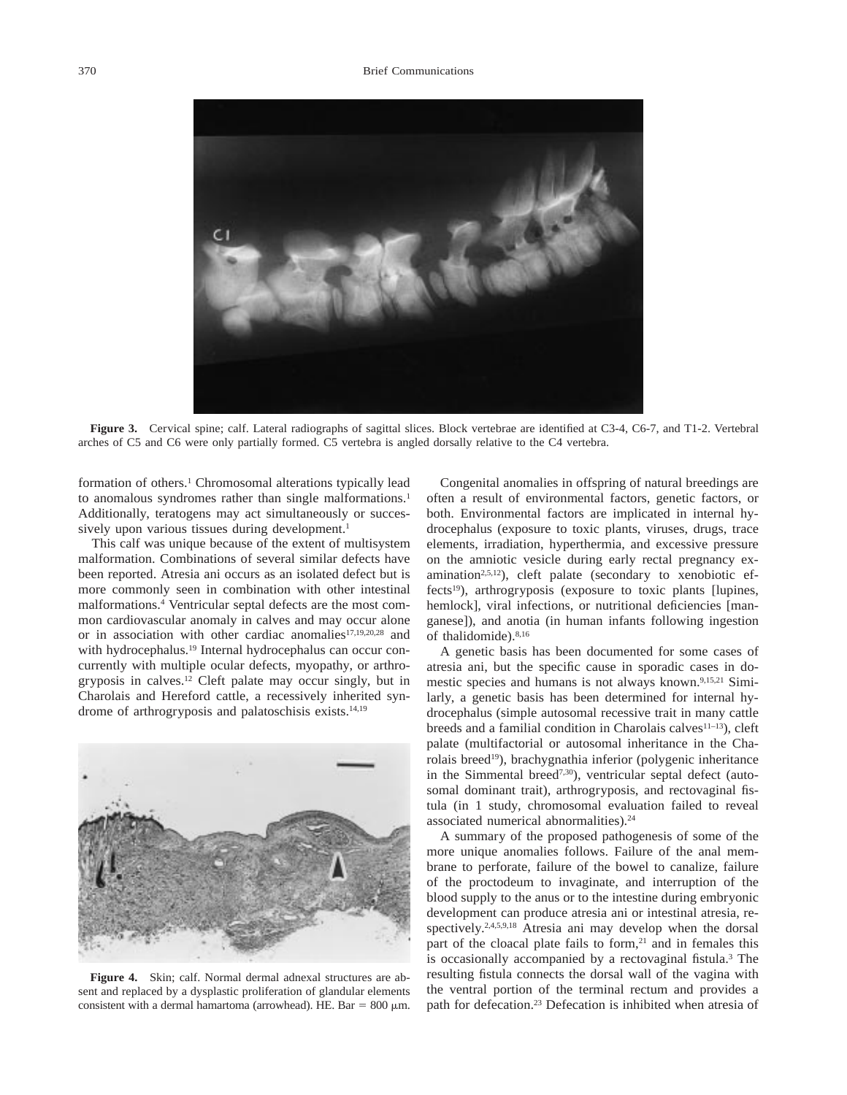

**Figure 3.** Cervical spine; calf. Lateral radiographs of sagittal slices. Block vertebrae are identified at C3-4, C6-7, and T1-2. Vertebral arches of C5 and C6 were only partially formed. C5 vertebra is angled dorsally relative to the C4 vertebra.

formation of others.1 Chromosomal alterations typically lead to anomalous syndromes rather than single malformations.<sup>1</sup> Additionally, teratogens may act simultaneously or successively upon various tissues during development.<sup>1</sup>

This calf was unique because of the extent of multisystem malformation. Combinations of several similar defects have been reported. Atresia ani occurs as an isolated defect but is more commonly seen in combination with other intestinal malformations.4 Ventricular septal defects are the most common cardiovascular anomaly in calves and may occur alone or in association with other cardiac anomalies<sup>17,19,20,28</sup> and with hydrocephalus.<sup>19</sup> Internal hydrocephalus can occur concurrently with multiple ocular defects, myopathy, or arthrogryposis in calves.12 Cleft palate may occur singly, but in Charolais and Hereford cattle, a recessively inherited syndrome of arthrogryposis and palatoschisis exists.14,19



**Figure 4.** Skin; calf. Normal dermal adnexal structures are absent and replaced by a dysplastic proliferation of glandular elements consistent with a dermal hamartoma (arrowhead). HE. Bar =  $800 \mu m$ .

Congenital anomalies in offspring of natural breedings are often a result of environmental factors, genetic factors, or both. Environmental factors are implicated in internal hydrocephalus (exposure to toxic plants, viruses, drugs, trace elements, irradiation, hyperthermia, and excessive pressure on the amniotic vesicle during early rectal pregnancy examination<sup>2,5,12</sup>), cleft palate (secondary to xenobiotic effects19), arthrogryposis (exposure to toxic plants [lupines, hemlock], viral infections, or nutritional deficiencies [manganese]), and anotia (in human infants following ingestion of thalidomide).8,16

A genetic basis has been documented for some cases of atresia ani, but the specific cause in sporadic cases in domestic species and humans is not always known.<sup>9,15,21</sup> Similarly, a genetic basis has been determined for internal hydrocephalus (simple autosomal recessive trait in many cattle breeds and a familial condition in Charolais calves<sup>11-13</sup>), cleft palate (multifactorial or autosomal inheritance in the Charolais breed<sup>19</sup>), brachygnathia inferior (polygenic inheritance in the Simmental breed<sup>7,30</sup>), ventricular septal defect (autosomal dominant trait), arthrogryposis, and rectovaginal fistula (in 1 study, chromosomal evaluation failed to reveal associated numerical abnormalities).24

A summary of the proposed pathogenesis of some of the more unique anomalies follows. Failure of the anal membrane to perforate, failure of the bowel to canalize, failure of the proctodeum to invaginate, and interruption of the blood supply to the anus or to the intestine during embryonic development can produce atresia ani or intestinal atresia, respectively.2,4,5,9,18 Atresia ani may develop when the dorsal part of the cloacal plate fails to form,<sup>21</sup> and in females this is occasionally accompanied by a rectovaginal fistula.<sup>3</sup> The resulting fistula connects the dorsal wall of the vagina with the ventral portion of the terminal rectum and provides a path for defecation.<sup>23</sup> Defecation is inhibited when atresia of